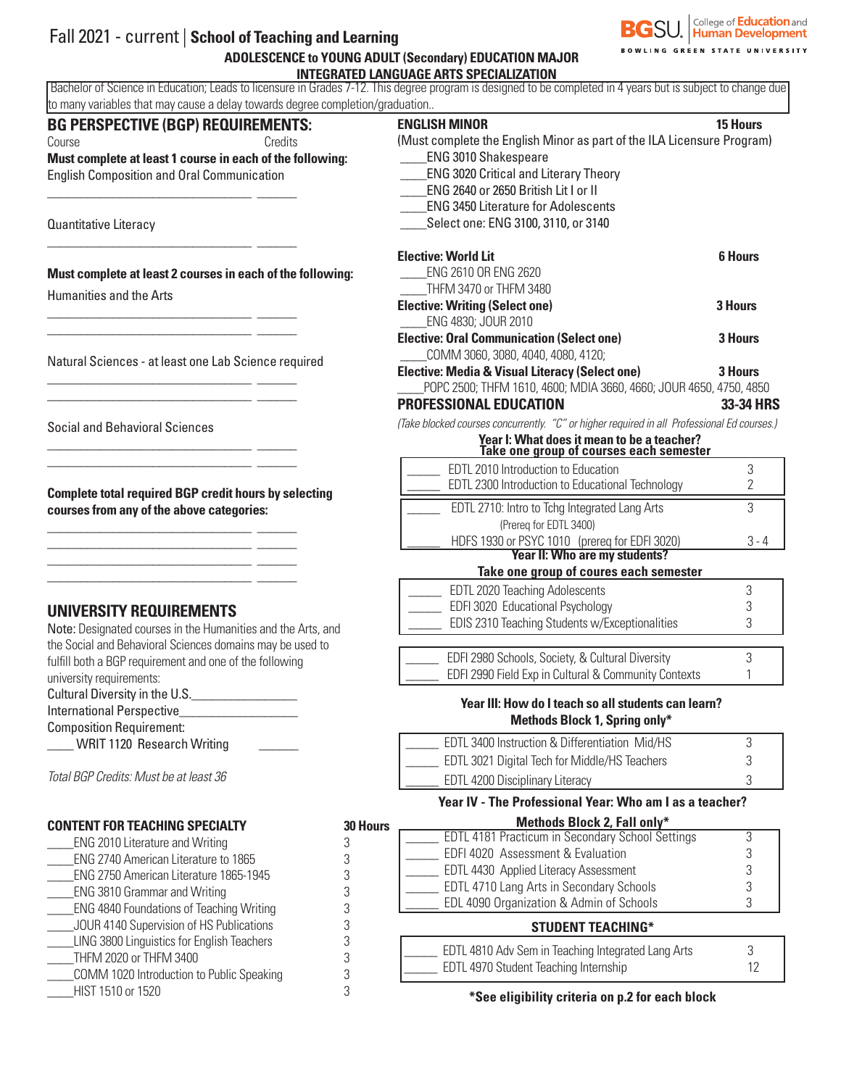

## Fall 2021 - current | **School of Teaching and Learning ADOLESCENCE to YOUNG ADULT (Secondary) EDUCATION MAJOR**

 **INTEGRATED LANGUAGE ARTS SPECIALIZATION** Bachelor of Science in Education; Leads to licensure in Grades 7-12. This degree program is designed to be completed in 4 years but is subject to change due to many variables that may cause a delay towards degree completion/graduation..

| <b>BG PERSPECTIVE (BGP) REQUIREMENTS:</b>                           |                 | <b>ENGLISH MINOR</b>                                                                                                                                  | <b>15 Hours</b> |  |  |  |
|---------------------------------------------------------------------|-----------------|-------------------------------------------------------------------------------------------------------------------------------------------------------|-----------------|--|--|--|
| Credits<br>Course                                                   |                 | (Must complete the English Minor as part of the ILA Licensure Program)<br><b>ENG 3010 Shakespeare</b><br><b>ENG 3020 Critical and Literary Theory</b> |                 |  |  |  |
| Must complete at least 1 course in each of the following:           |                 |                                                                                                                                                       |                 |  |  |  |
| <b>English Composition and Oral Communication</b>                   |                 |                                                                                                                                                       |                 |  |  |  |
|                                                                     |                 | ENG 2640 or 2650 British Lit I or II                                                                                                                  |                 |  |  |  |
|                                                                     |                 | <b>ENG 3450 Literature for Adolescents</b>                                                                                                            |                 |  |  |  |
| Quantitative Literacy                                               |                 | Select one: ENG 3100, 3110, or 3140                                                                                                                   |                 |  |  |  |
|                                                                     |                 | <b>Elective: World Lit</b>                                                                                                                            | <b>6 Hours</b>  |  |  |  |
| Must complete at least 2 courses in each of the following:          |                 | ENG 2610 OR ENG 2620                                                                                                                                  |                 |  |  |  |
| <b>Humanities and the Arts</b>                                      |                 | THFM 3470 or THFM 3480                                                                                                                                |                 |  |  |  |
|                                                                     |                 | <b>Elective: Writing (Select one)</b>                                                                                                                 | 3 Hours         |  |  |  |
|                                                                     |                 | ENG 4830; JOUR 2010                                                                                                                                   |                 |  |  |  |
|                                                                     |                 | <b>Elective: Oral Communication (Select one)</b>                                                                                                      | 3 Hours         |  |  |  |
| Natural Sciences - at least one Lab Science required                |                 | COMM 3060, 3080, 4040, 4080, 4120;                                                                                                                    |                 |  |  |  |
|                                                                     |                 | <b>Elective: Media &amp; Visual Literacy (Select one)</b>                                                                                             | 3 Hours         |  |  |  |
|                                                                     |                 | POPC 2500; THFM 1610, 4600; MDIA 3660, 4660; JOUR 4650, 4750, 4850                                                                                    |                 |  |  |  |
|                                                                     |                 | <b>PROFESSIONAL EDUCATION</b>                                                                                                                         | 33-34 HRS       |  |  |  |
| <b>Social and Behavioral Sciences</b>                               |                 | (Take blocked courses concurrently. "C" or higher required in all Professional Ed courses.)                                                           |                 |  |  |  |
|                                                                     |                 | Year I: What does it mean to be a teacher?<br>Take one group of courses each semester                                                                 |                 |  |  |  |
|                                                                     |                 | EDTL 2010 Introduction to Education                                                                                                                   | 3               |  |  |  |
| <b>Complete total required BGP credit hours by selecting</b>        |                 | EDTL 2300 Introduction to Educational Technology                                                                                                      | 2               |  |  |  |
| courses from any of the above categories:                           |                 | EDTL 2710: Intro to Tchg Integrated Lang Arts                                                                                                         | 3               |  |  |  |
|                                                                     |                 | (Prereq for EDTL 3400)                                                                                                                                |                 |  |  |  |
|                                                                     |                 | HDFS 1930 or PSYC 1010 (prereq for EDFI 3020)                                                                                                         |                 |  |  |  |
|                                                                     |                 | <b>Year II: Who are my students?</b>                                                                                                                  |                 |  |  |  |
|                                                                     |                 | Take one group of coures each semester                                                                                                                |                 |  |  |  |
|                                                                     |                 | EDTL 2020 Teaching Adolescents                                                                                                                        | 3               |  |  |  |
| <b>UNIVERSITY REQUIREMENTS</b>                                      |                 | EDFI 3020 Educational Psychology                                                                                                                      | 3               |  |  |  |
| Note: Designated courses in the Humanities and the Arts, and        |                 | EDIS 2310 Teaching Students w/Exceptionalities                                                                                                        | 3               |  |  |  |
| the Social and Behavioral Sciences domains may be used to           |                 |                                                                                                                                                       |                 |  |  |  |
| fulfill both a BGP requirement and one of the following             |                 | EDFI 2980 Schools, Society, & Cultural Diversity                                                                                                      | 3               |  |  |  |
| university requirements:                                            |                 | EDFI 2990 Field Exp in Cultural & Community Contexts                                                                                                  |                 |  |  |  |
| Cultural Diversity in the U.S.                                      |                 | Year III: How do I teach so all students can learn?                                                                                                   |                 |  |  |  |
| <b>International Perspective</b>                                    |                 | Methods Block 1, Spring only*                                                                                                                         |                 |  |  |  |
| <b>Composition Requirement:</b><br>WRIT 1120 Research Writing       |                 | EDTL 3400 Instruction & Differentiation Mid/HS                                                                                                        | 3               |  |  |  |
|                                                                     |                 | EDTL 3021 Digital Tech for Middle/HS Teachers                                                                                                         | 3               |  |  |  |
| Total BGP Credits: Must be at least 36                              |                 |                                                                                                                                                       |                 |  |  |  |
|                                                                     |                 | EDTL 4200 Disciplinary Literacy<br>3                                                                                                                  |                 |  |  |  |
|                                                                     |                 | Year IV - The Professional Year: Who am I as a teacher?                                                                                               |                 |  |  |  |
| <b>CONTENT FOR TEACHING SPECIALTY</b>                               | <b>30 Hours</b> | <b>Methods Block 2, Fall only*</b>                                                                                                                    |                 |  |  |  |
| <b>ENG 2010 Literature and Writing</b>                              | 3               | EDTL 4181 Practicum in Secondary School Settings                                                                                                      | 3               |  |  |  |
| ENG 2740 American Literature to 1865                                | 3               | EDFI 4020 Assessment & Evaluation                                                                                                                     | 3<br>3          |  |  |  |
| ENG 2750 American Literature 1865-1945                              | 3               | EDTL 4430 Applied Literacy Assessment<br>EDTL 4710 Lang Arts in Secondary Schools                                                                     | 3               |  |  |  |
| <b>ENG 3810 Grammar and Writing</b>                                 | 3               | EDL 4090 Organization & Admin of Schools                                                                                                              | 3               |  |  |  |
| <b>ENG 4840 Foundations of Teaching Writing</b>                     | 3               |                                                                                                                                                       |                 |  |  |  |
| JOUR 4140 Supervision of HS Publications                            | 3               | <b>STUDENT TEACHING*</b>                                                                                                                              |                 |  |  |  |
| LING 3800 Linguistics for English Teachers                          | 3               | EDTL 4810 Adv Sem in Teaching Integrated Lang Arts                                                                                                    | 3               |  |  |  |
| THFM 2020 or THFM 3400<br>COMM 1020 Introduction to Public Spooking | 3               | EDTL 4970 Student Teaching Internship                                                                                                                 | 12              |  |  |  |
|                                                                     |                 |                                                                                                                                                       |                 |  |  |  |

\_\_\_\_COMM 1020 Introduction to Public Speaking 3

\_\_\_\_HIST 1510 or 1520 3

## **\*See eligibility criteria on p.2 for each block**